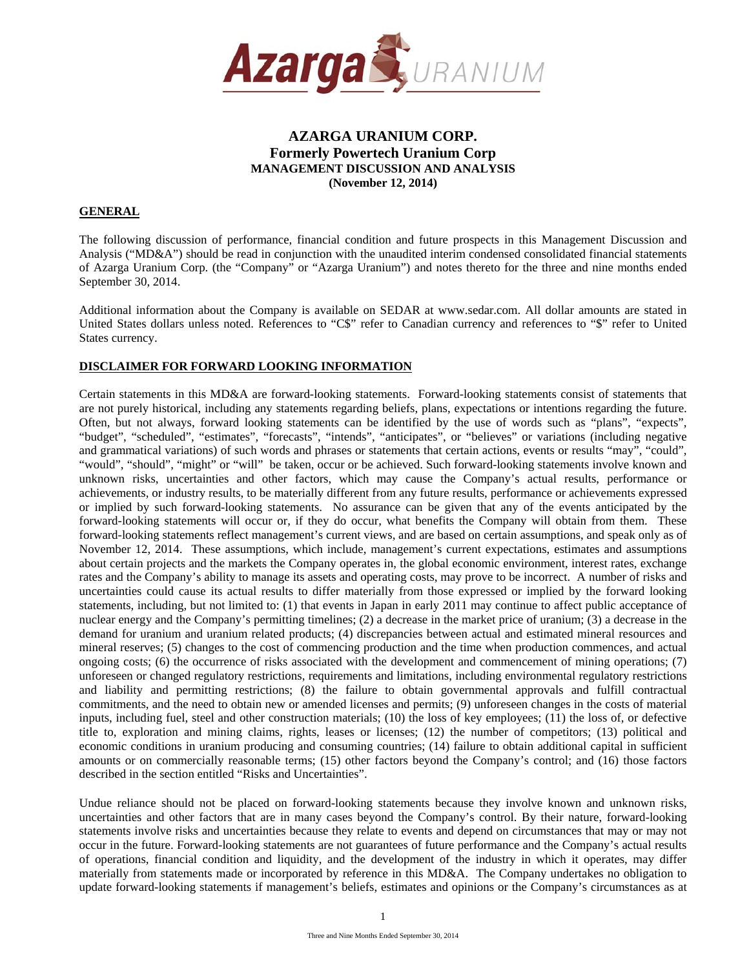

## **GENERAL**

The following discussion of performance, financial condition and future prospects in this Management Discussion and Analysis ("MD&A") should be read in conjunction with the unaudited interim condensed consolidated financial statements of Azarga Uranium Corp. (the "Company" or "Azarga Uranium") and notes thereto for the three and nine months ended September 30, 2014.

Additional information about the Company is available on SEDAR at www.sedar.com. All dollar amounts are stated in United States dollars unless noted. References to "C\$" refer to Canadian currency and references to "\$" refer to United States currency.

## **DISCLAIMER FOR FORWARD LOOKING INFORMATION**

Certain statements in this MD&A are forward-looking statements. Forward-looking statements consist of statements that are not purely historical, including any statements regarding beliefs, plans, expectations or intentions regarding the future. Often, but not always, forward looking statements can be identified by the use of words such as "plans", "expects", "budget", "scheduled", "estimates", "forecasts", "intends", "anticipates", or "believes" or variations (including negative and grammatical variations) of such words and phrases or statements that certain actions, events or results "may", "could", "would", "should", "might" or "will" be taken, occur or be achieved. Such forward-looking statements involve known and unknown risks, uncertainties and other factors, which may cause the Company's actual results, performance or achievements, or industry results, to be materially different from any future results, performance or achievements expressed or implied by such forward-looking statements. No assurance can be given that any of the events anticipated by the forward-looking statements will occur or, if they do occur, what benefits the Company will obtain from them. These forward-looking statements reflect management's current views, and are based on certain assumptions, and speak only as of November 12, 2014. These assumptions, which include, management's current expectations, estimates and assumptions about certain projects and the markets the Company operates in, the global economic environment, interest rates, exchange rates and the Company's ability to manage its assets and operating costs, may prove to be incorrect. A number of risks and uncertainties could cause its actual results to differ materially from those expressed or implied by the forward looking statements, including, but not limited to: (1) that events in Japan in early 2011 may continue to affect public acceptance of nuclear energy and the Company's permitting timelines; (2) a decrease in the market price of uranium; (3) a decrease in the demand for uranium and uranium related products; (4) discrepancies between actual and estimated mineral resources and mineral reserves; (5) changes to the cost of commencing production and the time when production commences, and actual ongoing costs; (6) the occurrence of risks associated with the development and commencement of mining operations; (7) unforeseen or changed regulatory restrictions, requirements and limitations, including environmental regulatory restrictions and liability and permitting restrictions; (8) the failure to obtain governmental approvals and fulfill contractual commitments, and the need to obtain new or amended licenses and permits; (9) unforeseen changes in the costs of material inputs, including fuel, steel and other construction materials; (10) the loss of key employees; (11) the loss of, or defective title to, exploration and mining claims, rights, leases or licenses; (12) the number of competitors; (13) political and economic conditions in uranium producing and consuming countries; (14) failure to obtain additional capital in sufficient amounts or on commercially reasonable terms; (15) other factors beyond the Company's control; and (16) those factors described in the section entitled "Risks and Uncertainties".

Undue reliance should not be placed on forward-looking statements because they involve known and unknown risks, uncertainties and other factors that are in many cases beyond the Company's control. By their nature, forward-looking statements involve risks and uncertainties because they relate to events and depend on circumstances that may or may not occur in the future. Forward-looking statements are not guarantees of future performance and the Company's actual results of operations, financial condition and liquidity, and the development of the industry in which it operates, may differ materially from statements made or incorporated by reference in this MD&A. The Company undertakes no obligation to update forward-looking statements if management's beliefs, estimates and opinions or the Company's circumstances as at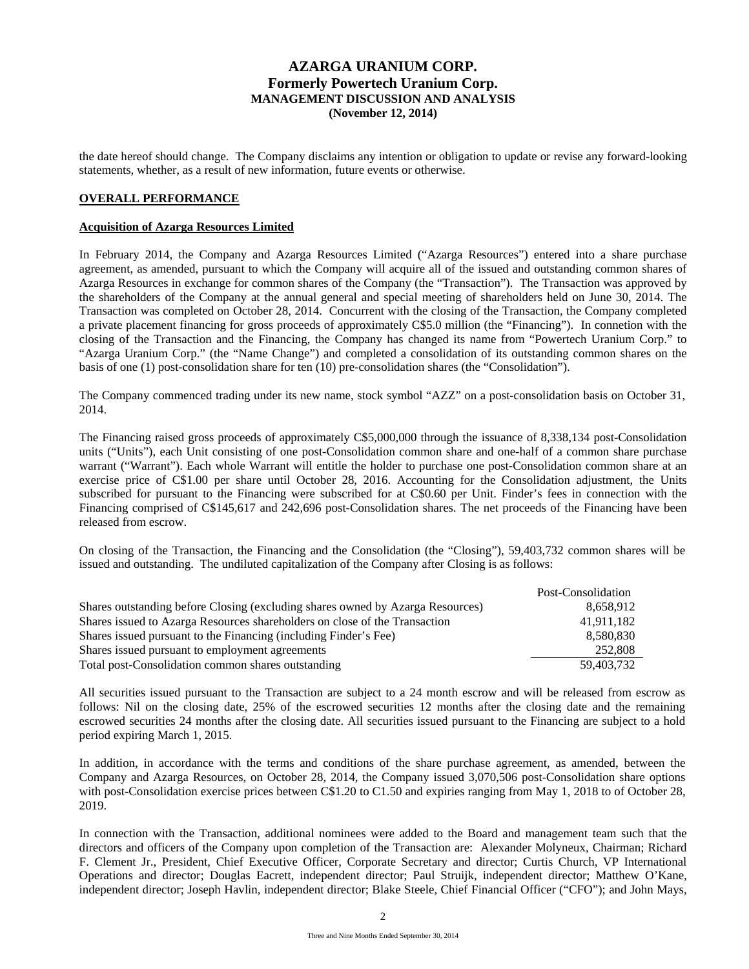the date hereof should change. The Company disclaims any intention or obligation to update or revise any forward-looking statements, whether, as a result of new information, future events or otherwise.

## **OVERALL PERFORMANCE**

#### **Acquisition of Azarga Resources Limited**

In February 2014, the Company and Azarga Resources Limited ("Azarga Resources") entered into a share purchase agreement, as amended, pursuant to which the Company will acquire all of the issued and outstanding common shares of Azarga Resources in exchange for common shares of the Company (the "Transaction"). The Transaction was approved by the shareholders of the Company at the annual general and special meeting of shareholders held on June 30, 2014. The Transaction was completed on October 28, 2014. Concurrent with the closing of the Transaction, the Company completed a private placement financing for gross proceeds of approximately C\$5.0 million (the "Financing"). In connetion with the closing of the Transaction and the Financing, the Company has changed its name from "Powertech Uranium Corp." to "Azarga Uranium Corp." (the "Name Change") and completed a consolidation of its outstanding common shares on the basis of one (1) post-consolidation share for ten (10) pre-consolidation shares (the "Consolidation").

The Company commenced trading under its new name, stock symbol "AZZ" on a post-consolidation basis on October 31, 2014.

The Financing raised gross proceeds of approximately C\$5,000,000 through the issuance of 8,338,134 post-Consolidation units ("Units"), each Unit consisting of one post-Consolidation common share and one-half of a common share purchase warrant ("Warrant"). Each whole Warrant will entitle the holder to purchase one post-Consolidation common share at an exercise price of C\$1.00 per share until October 28, 2016. Accounting for the Consolidation adjustment, the Units subscribed for pursuant to the Financing were subscribed for at C\$0.60 per Unit. Finder's fees in connection with the Financing comprised of C\$145,617 and 242,696 post-Consolidation shares. The net proceeds of the Financing have been released from escrow.

On closing of the Transaction, the Financing and the Consolidation (the "Closing"), 59,403,732 common shares will be issued and outstanding. The undiluted capitalization of the Company after Closing is as follows:

|                                                                                | Post-Consolidation |
|--------------------------------------------------------------------------------|--------------------|
| Shares outstanding before Closing (excluding shares owned by Azarga Resources) | 8,658,912          |
| Shares issued to Azarga Resources shareholders on close of the Transaction     | 41,911,182         |
| Shares issued pursuant to the Financing (including Finder's Fee)               | 8,580,830          |
| Shares issued pursuant to employment agreements                                | 252,808            |
| Total post-Consolidation common shares outstanding                             | 59,403,732         |

All securities issued pursuant to the Transaction are subject to a 24 month escrow and will be released from escrow as follows: Nil on the closing date, 25% of the escrowed securities 12 months after the closing date and the remaining escrowed securities 24 months after the closing date. All securities issued pursuant to the Financing are subject to a hold period expiring March 1, 2015.

In addition, in accordance with the terms and conditions of the share purchase agreement, as amended, between the Company and Azarga Resources, on October 28, 2014, the Company issued 3,070,506 post-Consolidation share options with post-Consolidation exercise prices between C\$1.20 to C1.50 and expiries ranging from May 1, 2018 to of October 28, 2019.

In connection with the Transaction, additional nominees were added to the Board and management team such that the directors and officers of the Company upon completion of the Transaction are: Alexander Molyneux, Chairman; Richard F. Clement Jr., President, Chief Executive Officer, Corporate Secretary and director; Curtis Church, VP International Operations and director; Douglas Eacrett, independent director; Paul Struijk, independent director; Matthew O'Kane, independent director; Joseph Havlin, independent director; Blake Steele, Chief Financial Officer ("CFO"); and John Mays,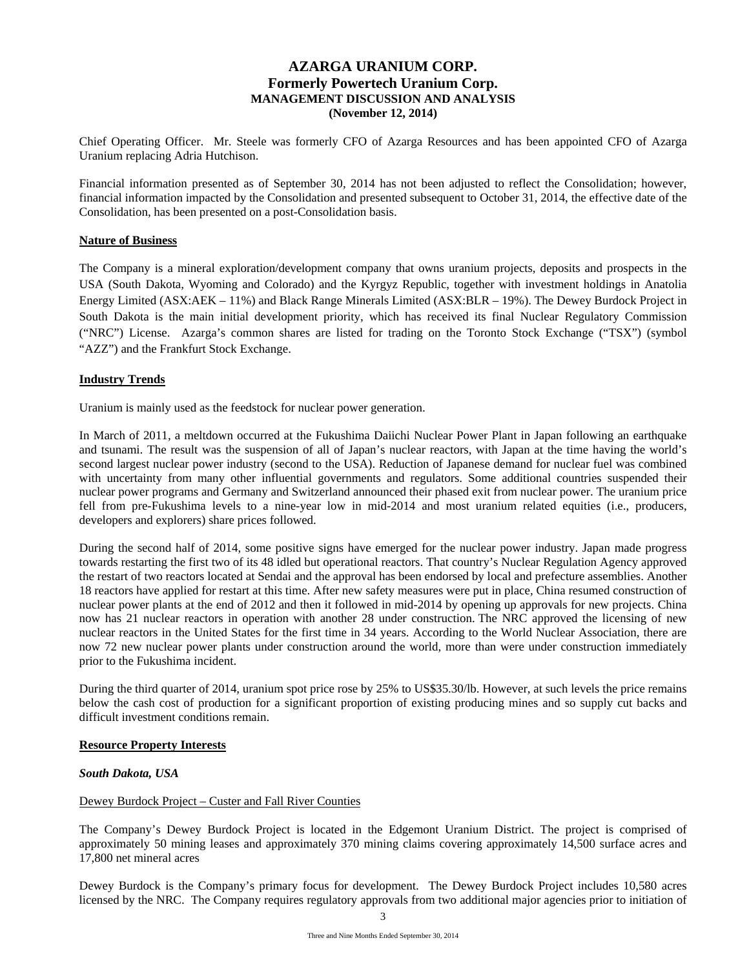Chief Operating Officer. Mr. Steele was formerly CFO of Azarga Resources and has been appointed CFO of Azarga Uranium replacing Adria Hutchison.

Financial information presented as of September 30, 2014 has not been adjusted to reflect the Consolidation; however, financial information impacted by the Consolidation and presented subsequent to October 31, 2014, the effective date of the Consolidation, has been presented on a post-Consolidation basis.

### **Nature of Business**

The Company is a mineral exploration/development company that owns uranium projects, deposits and prospects in the USA (South Dakota, Wyoming and Colorado) and the Kyrgyz Republic, together with investment holdings in Anatolia Energy Limited (ASX:AEK – 11%) and Black Range Minerals Limited (ASX:BLR – 19%). The Dewey Burdock Project in South Dakota is the main initial development priority, which has received its final Nuclear Regulatory Commission ("NRC") License. Azarga's common shares are listed for trading on the Toronto Stock Exchange ("TSX") (symbol "AZZ") and the Frankfurt Stock Exchange.

## **Industry Trends**

Uranium is mainly used as the feedstock for nuclear power generation.

In March of 2011, a meltdown occurred at the Fukushima Daiichi Nuclear Power Plant in Japan following an earthquake and tsunami. The result was the suspension of all of Japan's nuclear reactors, with Japan at the time having the world's second largest nuclear power industry (second to the USA). Reduction of Japanese demand for nuclear fuel was combined with uncertainty from many other influential governments and regulators. Some additional countries suspended their nuclear power programs and Germany and Switzerland announced their phased exit from nuclear power. The uranium price fell from pre-Fukushima levels to a nine-year low in mid-2014 and most uranium related equities (i.e., producers, developers and explorers) share prices followed.

During the second half of 2014, some positive signs have emerged for the nuclear power industry. Japan made progress towards restarting the first two of its 48 idled but operational reactors. That country's Nuclear Regulation Agency approved the restart of two reactors located at Sendai and the approval has been endorsed by local and prefecture assemblies. Another 18 reactors have applied for restart at this time. After new safety measures were put in place, China resumed construction of nuclear power plants at the end of 2012 and then it followed in mid-2014 by opening up approvals for new projects. China now has 21 nuclear reactors in operation with another 28 under construction. The NRC approved the licensing of new nuclear reactors in the United States for the first time in 34 years. According to the World Nuclear Association, there are now 72 new nuclear power plants under construction around the world, more than were under construction immediately prior to the Fukushima incident.

During the third quarter of 2014, uranium spot price rose by 25% to US\$35.30/lb. However, at such levels the price remains below the cash cost of production for a significant proportion of existing producing mines and so supply cut backs and difficult investment conditions remain.

### **Resource Property Interests**

### *South Dakota, USA*

### Dewey Burdock Project – Custer and Fall River Counties

The Company's Dewey Burdock Project is located in the Edgemont Uranium District. The project is comprised of approximately 50 mining leases and approximately 370 mining claims covering approximately 14,500 surface acres and 17,800 net mineral acres

Dewey Burdock is the Company's primary focus for development. The Dewey Burdock Project includes 10,580 acres licensed by the NRC. The Company requires regulatory approvals from two additional major agencies prior to initiation of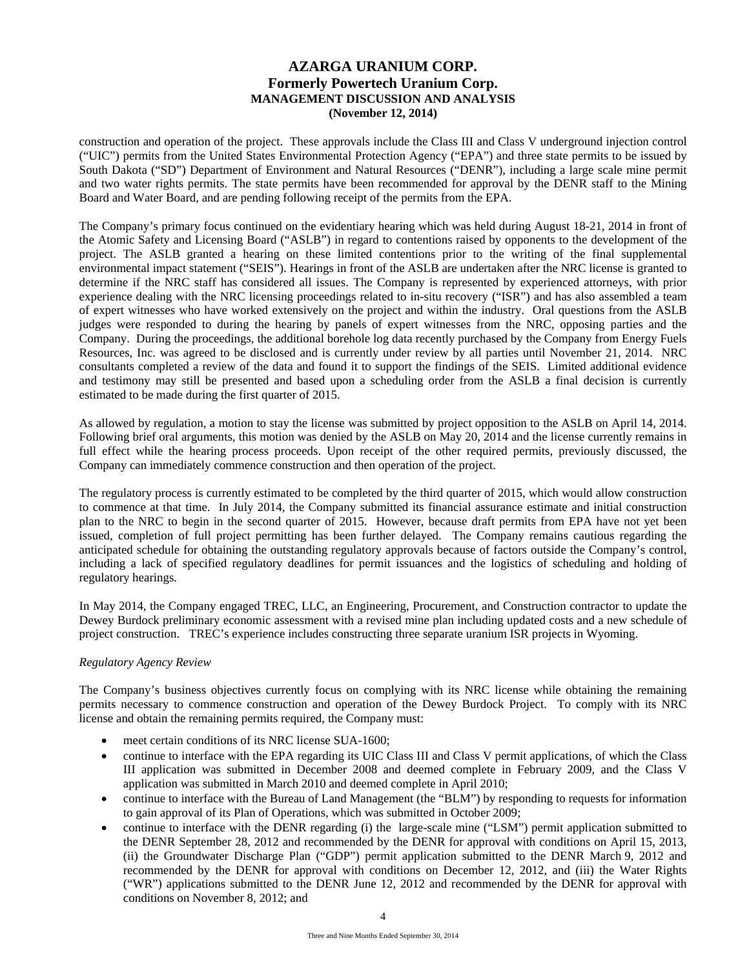construction and operation of the project. These approvals include the Class III and Class V underground injection control ("UIC") permits from the United States Environmental Protection Agency ("EPA") and three state permits to be issued by South Dakota ("SD") Department of Environment and Natural Resources ("DENR"), including a large scale mine permit and two water rights permits. The state permits have been recommended for approval by the DENR staff to the Mining Board and Water Board, and are pending following receipt of the permits from the EPA.

The Company's primary focus continued on the evidentiary hearing which was held during August 18-21, 2014 in front of the Atomic Safety and Licensing Board ("ASLB") in regard to contentions raised by opponents to the development of the project. The ASLB granted a hearing on these limited contentions prior to the writing of the final supplemental environmental impact statement ("SEIS"). Hearings in front of the ASLB are undertaken after the NRC license is granted to determine if the NRC staff has considered all issues. The Company is represented by experienced attorneys, with prior experience dealing with the NRC licensing proceedings related to in-situ recovery ("ISR") and has also assembled a team of expert witnesses who have worked extensively on the project and within the industry. Oral questions from the ASLB judges were responded to during the hearing by panels of expert witnesses from the NRC, opposing parties and the Company. During the proceedings, the additional borehole log data recently purchased by the Company from Energy Fuels Resources, Inc. was agreed to be disclosed and is currently under review by all parties until November 21, 2014. NRC consultants completed a review of the data and found it to support the findings of the SEIS. Limited additional evidence and testimony may still be presented and based upon a scheduling order from the ASLB a final decision is currently estimated to be made during the first quarter of 2015.

As allowed by regulation, a motion to stay the license was submitted by project opposition to the ASLB on April 14, 2014. Following brief oral arguments, this motion was denied by the ASLB on May 20, 2014 and the license currently remains in full effect while the hearing process proceeds. Upon receipt of the other required permits, previously discussed, the Company can immediately commence construction and then operation of the project.

The regulatory process is currently estimated to be completed by the third quarter of 2015, which would allow construction to commence at that time. In July 2014, the Company submitted its financial assurance estimate and initial construction plan to the NRC to begin in the second quarter of 2015. However, because draft permits from EPA have not yet been issued, completion of full project permitting has been further delayed. The Company remains cautious regarding the anticipated schedule for obtaining the outstanding regulatory approvals because of factors outside the Company's control, including a lack of specified regulatory deadlines for permit issuances and the logistics of scheduling and holding of regulatory hearings.

In May 2014, the Company engaged TREC, LLC, an Engineering, Procurement, and Construction contractor to update the Dewey Burdock preliminary economic assessment with a revised mine plan including updated costs and a new schedule of project construction. TREC's experience includes constructing three separate uranium ISR projects in Wyoming.

# *Regulatory Agency Review*

The Company's business objectives currently focus on complying with its NRC license while obtaining the remaining permits necessary to commence construction and operation of the Dewey Burdock Project. To comply with its NRC license and obtain the remaining permits required, the Company must:

- meet certain conditions of its NRC license SUA-1600;
- continue to interface with the EPA regarding its UIC Class III and Class V permit applications, of which the Class III application was submitted in December 2008 and deemed complete in February 2009, and the Class V application was submitted in March 2010 and deemed complete in April 2010;
- continue to interface with the Bureau of Land Management (the "BLM") by responding to requests for information to gain approval of its Plan of Operations, which was submitted in October 2009;
- continue to interface with the DENR regarding (i) the large-scale mine ("LSM") permit application submitted to the DENR September 28, 2012 and recommended by the DENR for approval with conditions on April 15, 2013, (ii) the Groundwater Discharge Plan ("GDP") permit application submitted to the DENR March 9, 2012 and recommended by the DENR for approval with conditions on December 12, 2012, and (iii) the Water Rights ("WR") applications submitted to the DENR June 12, 2012 and recommended by the DENR for approval with conditions on November 8, 2012; and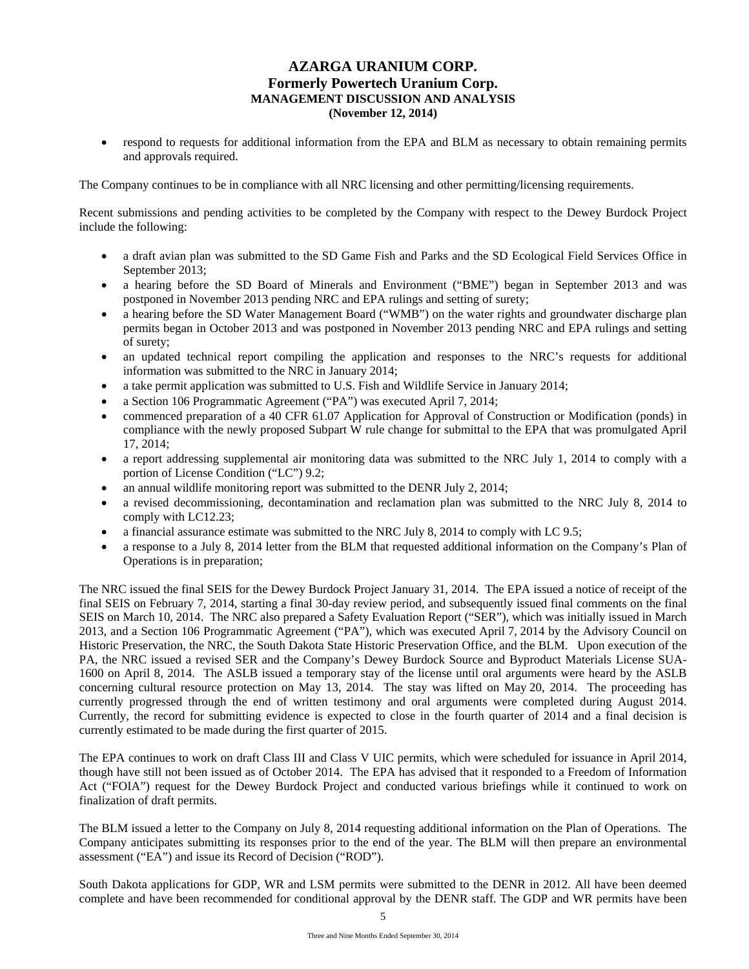respond to requests for additional information from the EPA and BLM as necessary to obtain remaining permits and approvals required.

The Company continues to be in compliance with all NRC licensing and other permitting/licensing requirements.

Recent submissions and pending activities to be completed by the Company with respect to the Dewey Burdock Project include the following:

- a draft avian plan was submitted to the SD Game Fish and Parks and the SD Ecological Field Services Office in September 2013;
- a hearing before the SD Board of Minerals and Environment ("BME") began in September 2013 and was postponed in November 2013 pending NRC and EPA rulings and setting of surety;
- a hearing before the SD Water Management Board ("WMB") on the water rights and groundwater discharge plan permits began in October 2013 and was postponed in November 2013 pending NRC and EPA rulings and setting of surety;
- an updated technical report compiling the application and responses to the NRC's requests for additional information was submitted to the NRC in January 2014;
- a take permit application was submitted to U.S. Fish and Wildlife Service in January 2014;
- a Section 106 Programmatic Agreement ("PA") was executed April 7, 2014;
- commenced preparation of a 40 CFR 61.07 Application for Approval of Construction or Modification (ponds) in compliance with the newly proposed Subpart W rule change for submittal to the EPA that was promulgated April 17, 2014;
- a report addressing supplemental air monitoring data was submitted to the NRC July 1, 2014 to comply with a portion of License Condition ("LC") 9.2;
- an annual wildlife monitoring report was submitted to the DENR July 2, 2014;
- a revised decommissioning, decontamination and reclamation plan was submitted to the NRC July 8, 2014 to comply with LC12.23;
- a financial assurance estimate was submitted to the NRC July 8, 2014 to comply with LC 9.5;
- a response to a July 8, 2014 letter from the BLM that requested additional information on the Company's Plan of Operations is in preparation;

The NRC issued the final SEIS for the Dewey Burdock Project January 31, 2014. The EPA issued a notice of receipt of the final SEIS on February 7, 2014, starting a final 30-day review period, and subsequently issued final comments on the final SEIS on March 10, 2014. The NRC also prepared a Safety Evaluation Report ("SER"), which was initially issued in March 2013, and a Section 106 Programmatic Agreement ("PA"), which was executed April 7, 2014 by the Advisory Council on Historic Preservation, the NRC, the South Dakota State Historic Preservation Office, and the BLM. Upon execution of the PA, the NRC issued a revised SER and the Company's Dewey Burdock Source and Byproduct Materials License SUA-1600 on April 8, 2014. The ASLB issued a temporary stay of the license until oral arguments were heard by the ASLB concerning cultural resource protection on May 13, 2014. The stay was lifted on May 20, 2014. The proceeding has currently progressed through the end of written testimony and oral arguments were completed during August 2014. Currently, the record for submitting evidence is expected to close in the fourth quarter of 2014 and a final decision is currently estimated to be made during the first quarter of 2015.

The EPA continues to work on draft Class III and Class V UIC permits, which were scheduled for issuance in April 2014, though have still not been issued as of October 2014. The EPA has advised that it responded to a Freedom of Information Act ("FOIA") request for the Dewey Burdock Project and conducted various briefings while it continued to work on finalization of draft permits.

The BLM issued a letter to the Company on July 8, 2014 requesting additional information on the Plan of Operations. The Company anticipates submitting its responses prior to the end of the year. The BLM will then prepare an environmental assessment ("EA") and issue its Record of Decision ("ROD").

South Dakota applications for GDP, WR and LSM permits were submitted to the DENR in 2012. All have been deemed complete and have been recommended for conditional approval by the DENR staff. The GDP and WR permits have been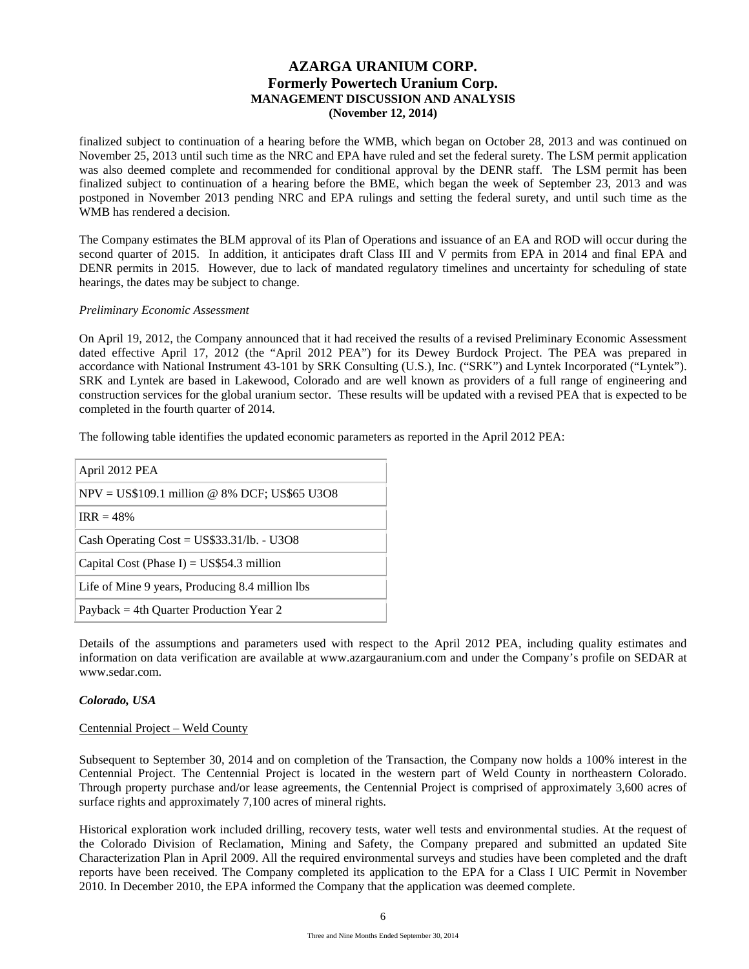finalized subject to continuation of a hearing before the WMB, which began on October 28, 2013 and was continued on November 25, 2013 until such time as the NRC and EPA have ruled and set the federal surety. The LSM permit application was also deemed complete and recommended for conditional approval by the DENR staff. The LSM permit has been finalized subject to continuation of a hearing before the BME, which began the week of September 23, 2013 and was postponed in November 2013 pending NRC and EPA rulings and setting the federal surety, and until such time as the WMB has rendered a decision.

The Company estimates the BLM approval of its Plan of Operations and issuance of an EA and ROD will occur during the second quarter of 2015. In addition, it anticipates draft Class III and V permits from EPA in 2014 and final EPA and DENR permits in 2015. However, due to lack of mandated regulatory timelines and uncertainty for scheduling of state hearings, the dates may be subject to change.

### *Preliminary Economic Assessment*

On April 19, 2012, the Company announced that it had received the results of a revised Preliminary Economic Assessment dated effective April 17, 2012 (the "April 2012 PEA") for its Dewey Burdock Project. The PEA was prepared in accordance with National Instrument 43-101 by SRK Consulting (U.S.), Inc. ("SRK") and Lyntek Incorporated ("Lyntek"). SRK and Lyntek are based in Lakewood, Colorado and are well known as providers of a full range of engineering and construction services for the global uranium sector. These results will be updated with a revised PEA that is expected to be completed in the fourth quarter of 2014.

The following table identifies the updated economic parameters as reported in the April 2012 PEA:

| April 2012 PEA                                  |
|-------------------------------------------------|
| $NPV = US$109.1$ million @ 8% DCF; US\$65 U3O8  |
| $IRR = 48\%$                                    |
| Cash Operating Cost = $US$33.31/lb. - U3O8$     |
| Capital Cost (Phase I) = $US$54.3$ million      |
| Life of Mine 9 years, Producing 8.4 million lbs |
| Payback = 4th Ouarter Production Year 2         |

Details of the assumptions and parameters used with respect to the April 2012 PEA, including quality estimates and information on data verification are available at www.azargauranium.com and under the Company's profile on SEDAR at www.sedar.com.

### *Colorado, USA*

### Centennial Project – Weld County

Subsequent to September 30, 2014 and on completion of the Transaction, the Company now holds a 100% interest in the Centennial Project. The Centennial Project is located in the western part of Weld County in northeastern Colorado. Through property purchase and/or lease agreements, the Centennial Project is comprised of approximately 3,600 acres of surface rights and approximately 7,100 acres of mineral rights.

Historical exploration work included drilling, recovery tests, water well tests and environmental studies. At the request of the Colorado Division of Reclamation, Mining and Safety, the Company prepared and submitted an updated Site Characterization Plan in April 2009. All the required environmental surveys and studies have been completed and the draft reports have been received. The Company completed its application to the EPA for a Class I UIC Permit in November 2010. In December 2010, the EPA informed the Company that the application was deemed complete.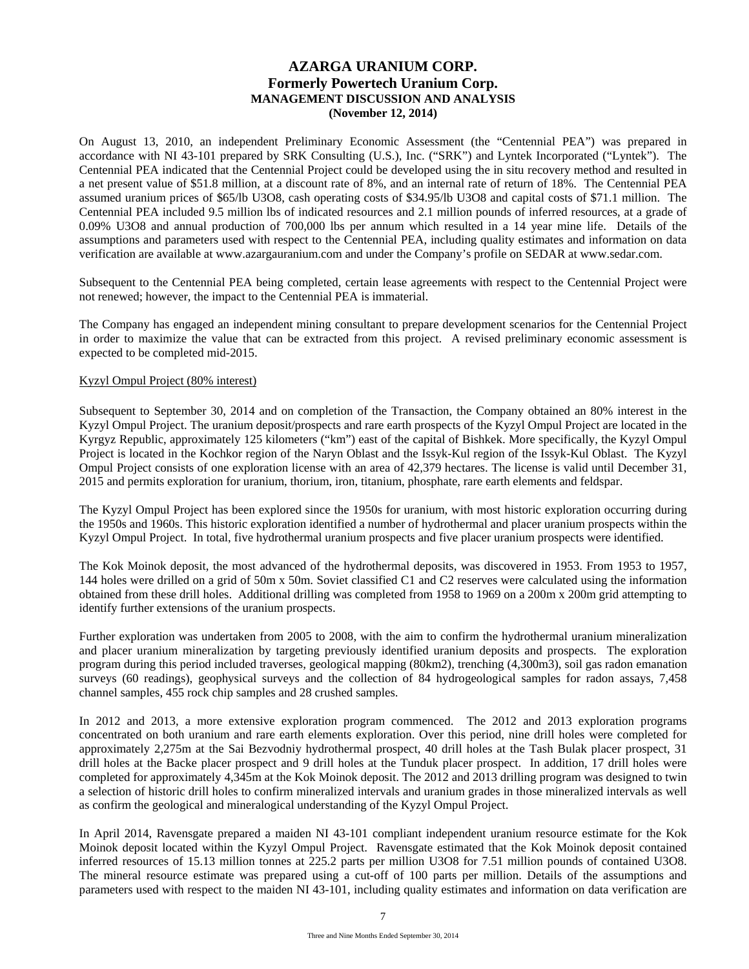On August 13, 2010, an independent Preliminary Economic Assessment (the "Centennial PEA") was prepared in accordance with NI 43-101 prepared by SRK Consulting (U.S.), Inc. ("SRK") and Lyntek Incorporated ("Lyntek"). The Centennial PEA indicated that the Centennial Project could be developed using the in situ recovery method and resulted in a net present value of \$51.8 million, at a discount rate of 8%, and an internal rate of return of 18%. The Centennial PEA assumed uranium prices of \$65/lb U3O8, cash operating costs of \$34.95/lb U3O8 and capital costs of \$71.1 million. The Centennial PEA included 9.5 million lbs of indicated resources and 2.1 million pounds of inferred resources, at a grade of 0.09% U3O8 and annual production of 700,000 lbs per annum which resulted in a 14 year mine life. Details of the assumptions and parameters used with respect to the Centennial PEA, including quality estimates and information on data verification are available at www.azargauranium.com and under the Company's profile on SEDAR at www.sedar.com.

Subsequent to the Centennial PEA being completed, certain lease agreements with respect to the Centennial Project were not renewed; however, the impact to the Centennial PEA is immaterial.

The Company has engaged an independent mining consultant to prepare development scenarios for the Centennial Project in order to maximize the value that can be extracted from this project. A revised preliminary economic assessment is expected to be completed mid-2015.

## Kyzyl Ompul Project (80% interest)

Subsequent to September 30, 2014 and on completion of the Transaction, the Company obtained an 80% interest in the Kyzyl Ompul Project. The uranium deposit/prospects and rare earth prospects of the Kyzyl Ompul Project are located in the Kyrgyz Republic, approximately 125 kilometers ("km") east of the capital of Bishkek. More specifically, the Kyzyl Ompul Project is located in the Kochkor region of the Naryn Oblast and the Issyk-Kul region of the Issyk-Kul Oblast. The Kyzyl Ompul Project consists of one exploration license with an area of 42,379 hectares. The license is valid until December 31, 2015 and permits exploration for uranium, thorium, iron, titanium, phosphate, rare earth elements and feldspar.

The Kyzyl Ompul Project has been explored since the 1950s for uranium, with most historic exploration occurring during the 1950s and 1960s. This historic exploration identified a number of hydrothermal and placer uranium prospects within the Kyzyl Ompul Project. In total, five hydrothermal uranium prospects and five placer uranium prospects were identified.

The Kok Moinok deposit, the most advanced of the hydrothermal deposits, was discovered in 1953. From 1953 to 1957, 144 holes were drilled on a grid of 50m x 50m. Soviet classified C1 and C2 reserves were calculated using the information obtained from these drill holes. Additional drilling was completed from 1958 to 1969 on a 200m x 200m grid attempting to identify further extensions of the uranium prospects.

Further exploration was undertaken from 2005 to 2008, with the aim to confirm the hydrothermal uranium mineralization and placer uranium mineralization by targeting previously identified uranium deposits and prospects. The exploration program during this period included traverses, geological mapping (80km2), trenching (4,300m3), soil gas radon emanation surveys (60 readings), geophysical surveys and the collection of 84 hydrogeological samples for radon assays, 7,458 channel samples, 455 rock chip samples and 28 crushed samples.

In 2012 and 2013, a more extensive exploration program commenced. The 2012 and 2013 exploration programs concentrated on both uranium and rare earth elements exploration. Over this period, nine drill holes were completed for approximately 2,275m at the Sai Bezvodniy hydrothermal prospect, 40 drill holes at the Tash Bulak placer prospect, 31 drill holes at the Backe placer prospect and 9 drill holes at the Tunduk placer prospect. In addition, 17 drill holes were completed for approximately 4,345m at the Kok Moinok deposit. The 2012 and 2013 drilling program was designed to twin a selection of historic drill holes to confirm mineralized intervals and uranium grades in those mineralized intervals as well as confirm the geological and mineralogical understanding of the Kyzyl Ompul Project.

In April 2014, Ravensgate prepared a maiden NI 43-101 compliant independent uranium resource estimate for the Kok Moinok deposit located within the Kyzyl Ompul Project. Ravensgate estimated that the Kok Moinok deposit contained inferred resources of 15.13 million tonnes at 225.2 parts per million U3O8 for 7.51 million pounds of contained U3O8. The mineral resource estimate was prepared using a cut-off of 100 parts per million. Details of the assumptions and parameters used with respect to the maiden NI 43-101, including quality estimates and information on data verification are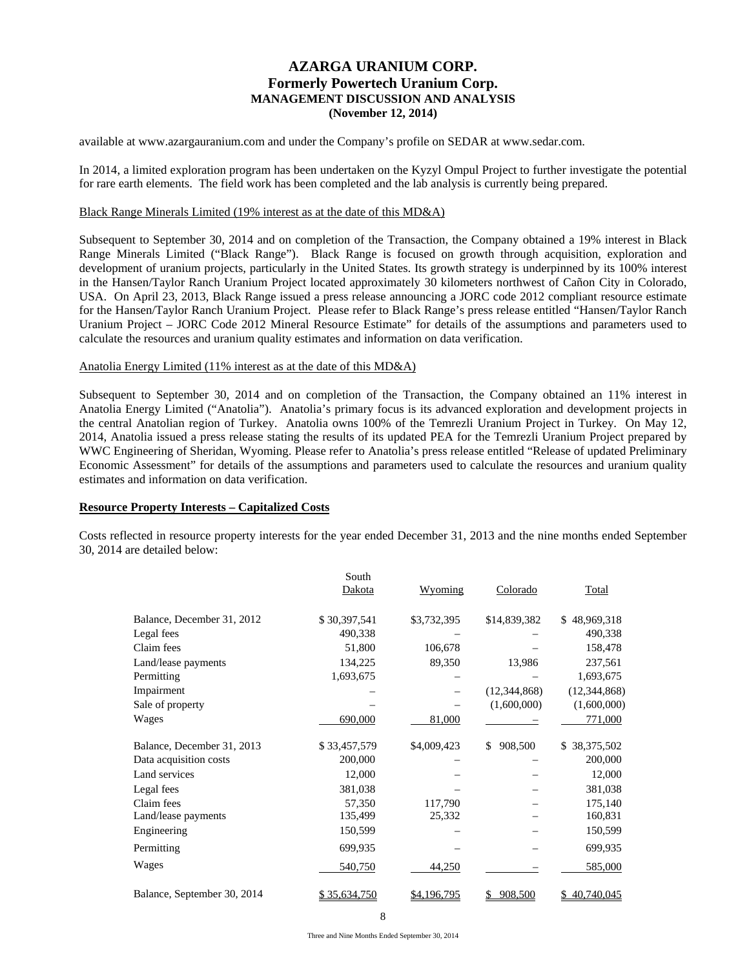available at www.azargauranium.com and under the Company's profile on SEDAR at www.sedar.com.

In 2014, a limited exploration program has been undertaken on the Kyzyl Ompul Project to further investigate the potential for rare earth elements. The field work has been completed and the lab analysis is currently being prepared.

#### Black Range Minerals Limited (19% interest as at the date of this MD&A)

Subsequent to September 30, 2014 and on completion of the Transaction, the Company obtained a 19% interest in Black Range Minerals Limited ("Black Range"). Black Range is focused on growth through acquisition, exploration and development of uranium projects, particularly in the United States. Its growth strategy is underpinned by its 100% interest in the Hansen/Taylor Ranch Uranium Project located approximately 30 kilometers northwest of Cañon City in Colorado, USA. On April 23, 2013, Black Range issued a press release announcing a JORC code 2012 compliant resource estimate for the Hansen/Taylor Ranch Uranium Project. Please refer to Black Range's press release entitled "Hansen/Taylor Ranch Uranium Project – JORC Code 2012 Mineral Resource Estimate" for details of the assumptions and parameters used to calculate the resources and uranium quality estimates and information on data verification.

#### Anatolia Energy Limited (11% interest as at the date of this MD&A)

Subsequent to September 30, 2014 and on completion of the Transaction, the Company obtained an 11% interest in Anatolia Energy Limited ("Anatolia"). Anatolia's primary focus is its advanced exploration and development projects in the central Anatolian region of Turkey. Anatolia owns 100% of the Temrezli Uranium Project in Turkey. On May 12, 2014, Anatolia issued a press release stating the results of its updated PEA for the Temrezli Uranium Project prepared by WWC Engineering of Sheridan, Wyoming. Please refer to Anatolia's press release entitled "Release of updated Preliminary Economic Assessment" for details of the assumptions and parameters used to calculate the resources and uranium quality estimates and information on data verification.

### **Resource Property Interests – Capitalized Costs**

Costs reflected in resource property interests for the year ended December 31, 2013 and the nine months ended September 30, 2014 are detailed below:

|                             | South        |                |                |                    |
|-----------------------------|--------------|----------------|----------------|--------------------|
|                             | Dakota       | <u>Wyoming</u> | Colorado       | Total              |
| Balance, December 31, 2012  | \$30,397,541 | \$3,732,395    | \$14,839,382   | 48,969,318<br>\$   |
| Legal fees                  | 490,338      |                |                | 490,338            |
| Claim fees                  | 51,800       | 106,678        |                | 158,478            |
| Land/lease payments         | 134,225      | 89,350         | 13,986         | 237,561            |
| Permitting                  | 1,693,675    |                |                | 1,693,675          |
| Impairment                  |              |                | (12, 344, 868) | (12, 344, 868)     |
| Sale of property            |              |                | (1,600,000)    | (1,600,000)        |
| Wages                       | 690,000      | 81,000         |                | 771,000            |
| Balance, December 31, 2013  | \$33,457,579 | \$4,009,423    | \$<br>908,500  | 38, 375, 502<br>\$ |
| Data acquisition costs      | 200,000      |                |                | 200,000            |
| Land services               | 12,000       |                |                | 12,000             |
| Legal fees                  | 381,038      |                |                | 381,038            |
| Claim fees                  | 57,350       | 117,790        |                | 175,140            |
| Land/lease payments         | 135,499      | 25,332         |                | 160,831            |
| Engineering                 | 150,599      |                |                | 150,599            |
| Permitting                  | 699,935      |                |                | 699,935            |
| Wages                       | 540,750      | 44,250         |                | 585,000            |
| Balance, September 30, 2014 | \$35,634,750 | \$4,196,795    | 908,500        | 40,740,045         |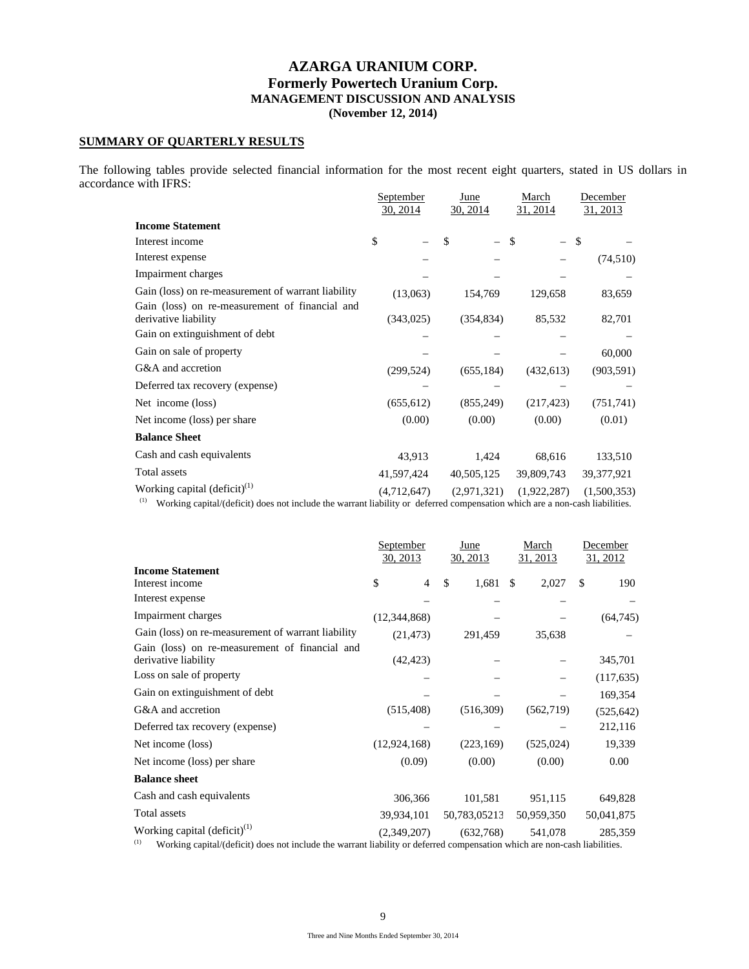# **SUMMARY OF QUARTERLY RESULTS**

The following tables provide selected financial information for the most recent eight quarters, stated in US dollars in accordance with IFRS:

|                                                                                                                                    | September   | June        | March       | December     |  |  |
|------------------------------------------------------------------------------------------------------------------------------------|-------------|-------------|-------------|--------------|--|--|
|                                                                                                                                    | 30, 2014    | 30, 2014    | 31, 2014    | 31, 2013     |  |  |
| <b>Income Statement</b>                                                                                                            |             |             |             |              |  |  |
| Interest income                                                                                                                    | \$          | \$          | \$          | -\$          |  |  |
| Interest expense                                                                                                                   |             |             |             | (74, 510)    |  |  |
| Impairment charges                                                                                                                 |             |             |             |              |  |  |
| Gain (loss) on re-measurement of warrant liability                                                                                 | (13,063)    | 154,769     | 129,658     | 83,659       |  |  |
| Gain (loss) on re-measurement of financial and<br>derivative liability                                                             | (343,025)   | (354, 834)  | 85,532      | 82,701       |  |  |
| Gain on extinguishment of debt                                                                                                     |             |             |             |              |  |  |
| Gain on sale of property                                                                                                           |             |             |             | 60,000       |  |  |
| G&A and accretion                                                                                                                  | (299, 524)  | (655, 184)  | (432, 613)  | (903, 591)   |  |  |
| Deferred tax recovery (expense)                                                                                                    |             |             |             |              |  |  |
| Net income (loss)                                                                                                                  | (655, 612)  | (855, 249)  | (217, 423)  | (751, 741)   |  |  |
| Net income (loss) per share                                                                                                        | (0.00)      | (0.00)      | (0.00)      | (0.01)       |  |  |
| <b>Balance Sheet</b>                                                                                                               |             |             |             |              |  |  |
| Cash and cash equivalents                                                                                                          | 43,913      | 1,424       | 68,616      | 133,510      |  |  |
| Total assets                                                                                                                       | 41,597,424  | 40,505,125  | 39,809,743  | 39, 377, 921 |  |  |
| Working capital $\left(\text{deficit}\right)^{(1)}$                                                                                | (4,712,647) | (2,971,321) | (1,922,287) | (1,500,353)  |  |  |
| (1)<br>Working capital/(deficit) does not include the warrant liability or deferred compensation which are a non-cash liabilities. |             |             |             |              |  |  |

|                                                                                                                                                                                        | September<br>30, 2013 | June<br>30, 2013 | March<br>31, 2013 | December<br>31, 2012 |
|----------------------------------------------------------------------------------------------------------------------------------------------------------------------------------------|-----------------------|------------------|-------------------|----------------------|
| <b>Income Statement</b>                                                                                                                                                                |                       |                  |                   |                      |
| Interest income                                                                                                                                                                        | \$<br>$\overline{4}$  | \$<br>1,681      | -S<br>2,027       | \$<br>190            |
| Interest expense                                                                                                                                                                       |                       |                  |                   |                      |
| Impairment charges                                                                                                                                                                     | (12, 344, 868)        |                  |                   | (64, 745)            |
| Gain (loss) on re-measurement of warrant liability                                                                                                                                     | (21, 473)             | 291,459          | 35,638            |                      |
| Gain (loss) on re-measurement of financial and<br>derivative liability                                                                                                                 | (42, 423)             |                  |                   | 345,701              |
| Loss on sale of property                                                                                                                                                               |                       |                  |                   | (117, 635)           |
| Gain on extinguishment of debt                                                                                                                                                         |                       |                  |                   | 169,354              |
| G&A and accretion                                                                                                                                                                      | (515, 408)            | (516,309)        | (562,719)         | (525, 642)           |
| Deferred tax recovery (expense)                                                                                                                                                        |                       |                  |                   | 212,116              |
| Net income (loss)                                                                                                                                                                      | (12, 924, 168)        | (223, 169)       | (525, 024)        | 19,339               |
| Net income (loss) per share                                                                                                                                                            | (0.09)                | (0.00)           | (0.00)            | 0.00                 |
| <b>Balance sheet</b>                                                                                                                                                                   |                       |                  |                   |                      |
| Cash and cash equivalents                                                                                                                                                              | 306,366               | 101,581          | 951,115           | 649,828              |
| <b>Total</b> assets                                                                                                                                                                    | 39,934,101            | 50,783,05213     | 50,959,350        | 50,041,875           |
| Working capital $\left(\text{deficit}\right)^{(1)}$<br>(1)<br>Working capital/(deficit) does not include the warrant liability or deferred compensation which are non-cash liabilities | (2.349.207)           | (632,768)        | 541,078           | 285,359              |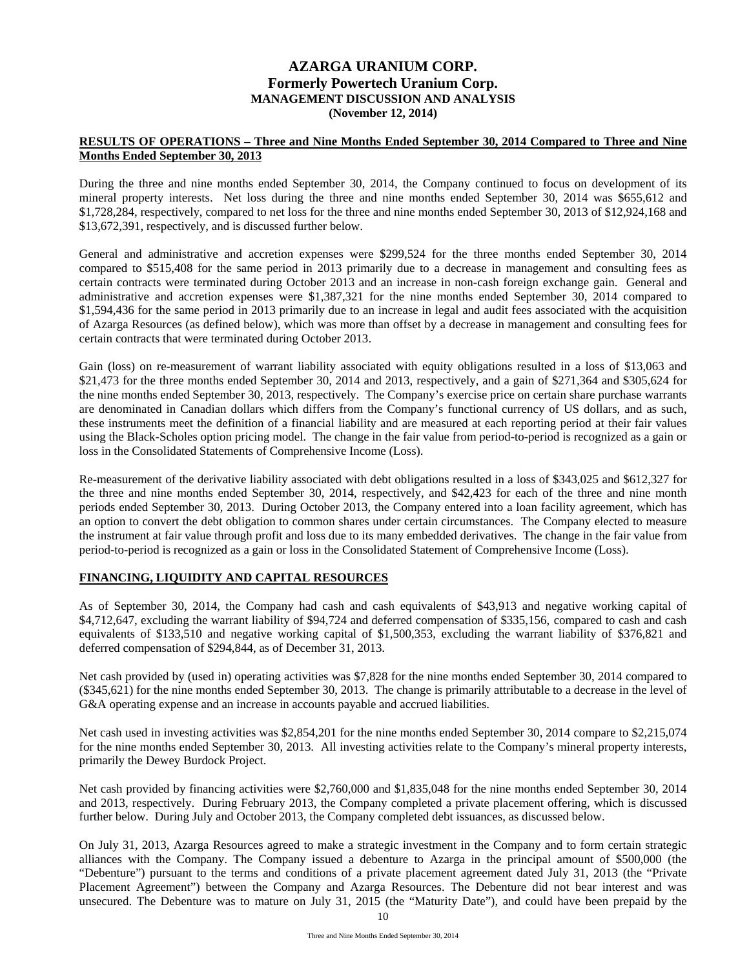# **RESULTS OF OPERATIONS – Three and Nine Months Ended September 30, 2014 Compared to Three and Nine Months Ended September 30, 2013**

During the three and nine months ended September 30, 2014, the Company continued to focus on development of its mineral property interests. Net loss during the three and nine months ended September 30, 2014 was \$655,612 and \$1,728,284, respectively, compared to net loss for the three and nine months ended September 30, 2013 of \$12,924,168 and \$13,672,391, respectively, and is discussed further below.

General and administrative and accretion expenses were \$299,524 for the three months ended September 30, 2014 compared to \$515,408 for the same period in 2013 primarily due to a decrease in management and consulting fees as certain contracts were terminated during October 2013 and an increase in non-cash foreign exchange gain. General and administrative and accretion expenses were \$1,387,321 for the nine months ended September 30, 2014 compared to \$1,594,436 for the same period in 2013 primarily due to an increase in legal and audit fees associated with the acquisition of Azarga Resources (as defined below), which was more than offset by a decrease in management and consulting fees for certain contracts that were terminated during October 2013.

Gain (loss) on re-measurement of warrant liability associated with equity obligations resulted in a loss of \$13,063 and \$21,473 for the three months ended September 30, 2014 and 2013, respectively, and a gain of \$271,364 and \$305,624 for the nine months ended September 30, 2013, respectively. The Company's exercise price on certain share purchase warrants are denominated in Canadian dollars which differs from the Company's functional currency of US dollars, and as such, these instruments meet the definition of a financial liability and are measured at each reporting period at their fair values using the Black-Scholes option pricing model. The change in the fair value from period-to-period is recognized as a gain or loss in the Consolidated Statements of Comprehensive Income (Loss).

Re-measurement of the derivative liability associated with debt obligations resulted in a loss of \$343,025 and \$612,327 for the three and nine months ended September 30, 2014, respectively, and \$42,423 for each of the three and nine month periods ended September 30, 2013. During October 2013, the Company entered into a loan facility agreement, which has an option to convert the debt obligation to common shares under certain circumstances. The Company elected to measure the instrument at fair value through profit and loss due to its many embedded derivatives. The change in the fair value from period-to-period is recognized as a gain or loss in the Consolidated Statement of Comprehensive Income (Loss).

# **FINANCING, LIQUIDITY AND CAPITAL RESOURCES**

As of September 30, 2014, the Company had cash and cash equivalents of \$43,913 and negative working capital of \$4,712,647, excluding the warrant liability of \$94,724 and deferred compensation of \$335,156, compared to cash and cash equivalents of \$133,510 and negative working capital of \$1,500,353, excluding the warrant liability of \$376,821 and deferred compensation of \$294,844, as of December 31, 2013.

Net cash provided by (used in) operating activities was \$7,828 for the nine months ended September 30, 2014 compared to (\$345,621) for the nine months ended September 30, 2013. The change is primarily attributable to a decrease in the level of G&A operating expense and an increase in accounts payable and accrued liabilities.

Net cash used in investing activities was \$2,854,201 for the nine months ended September 30, 2014 compare to \$2,215,074 for the nine months ended September 30, 2013. All investing activities relate to the Company's mineral property interests, primarily the Dewey Burdock Project.

Net cash provided by financing activities were \$2,760,000 and \$1,835,048 for the nine months ended September 30, 2014 and 2013, respectively. During February 2013, the Company completed a private placement offering, which is discussed further below. During July and October 2013, the Company completed debt issuances, as discussed below.

On July 31, 2013, Azarga Resources agreed to make a strategic investment in the Company and to form certain strategic alliances with the Company. The Company issued a debenture to Azarga in the principal amount of \$500,000 (the "Debenture") pursuant to the terms and conditions of a private placement agreement dated July 31, 2013 (the "Private Placement Agreement") between the Company and Azarga Resources. The Debenture did not bear interest and was unsecured. The Debenture was to mature on July 31, 2015 (the "Maturity Date"), and could have been prepaid by the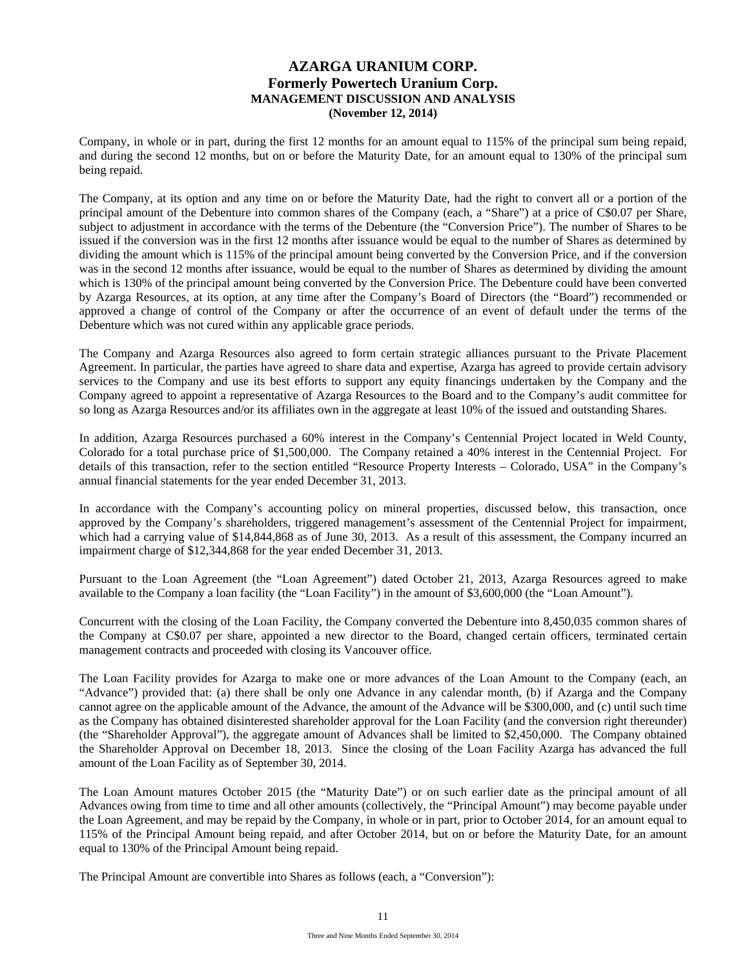Company, in whole or in part, during the first 12 months for an amount equal to 115% of the principal sum being repaid, and during the second 12 months, but on or before the Maturity Date, for an amount equal to 130% of the principal sum being repaid.

The Company, at its option and any time on or before the Maturity Date, had the right to convert all or a portion of the principal amount of the Debenture into common shares of the Company (each, a "Share") at a price of C\$0.07 per Share, subject to adjustment in accordance with the terms of the Debenture (the "Conversion Price"). The number of Shares to be issued if the conversion was in the first 12 months after issuance would be equal to the number of Shares as determined by dividing the amount which is 115% of the principal amount being converted by the Conversion Price, and if the conversion was in the second 12 months after issuance, would be equal to the number of Shares as determined by dividing the amount which is 130% of the principal amount being converted by the Conversion Price. The Debenture could have been converted by Azarga Resources, at its option, at any time after the Company's Board of Directors (the "Board") recommended or approved a change of control of the Company or after the occurrence of an event of default under the terms of the Debenture which was not cured within any applicable grace periods.

The Company and Azarga Resources also agreed to form certain strategic alliances pursuant to the Private Placement Agreement. In particular, the parties have agreed to share data and expertise, Azarga has agreed to provide certain advisory services to the Company and use its best efforts to support any equity financings undertaken by the Company and the Company agreed to appoint a representative of Azarga Resources to the Board and to the Company's audit committee for so long as Azarga Resources and/or its affiliates own in the aggregate at least 10% of the issued and outstanding Shares.

In addition, Azarga Resources purchased a 60% interest in the Company's Centennial Project located in Weld County, Colorado for a total purchase price of \$1,500,000. The Company retained a 40% interest in the Centennial Project. For details of this transaction, refer to the section entitled "Resource Property Interests – Colorado, USA" in the Company's annual financial statements for the year ended December 31, 2013.

In accordance with the Company's accounting policy on mineral properties, discussed below, this transaction, once approved by the Company's shareholders, triggered management's assessment of the Centennial Project for impairment, which had a carrying value of \$14,844,868 as of June 30, 2013. As a result of this assessment, the Company incurred an impairment charge of \$12,344,868 for the year ended December 31, 2013.

Pursuant to the Loan Agreement (the "Loan Agreement") dated October 21, 2013, Azarga Resources agreed to make available to the Company a loan facility (the "Loan Facility") in the amount of \$3,600,000 (the "Loan Amount").

Concurrent with the closing of the Loan Facility, the Company converted the Debenture into 8,450,035 common shares of the Company at C\$0.07 per share, appointed a new director to the Board, changed certain officers, terminated certain management contracts and proceeded with closing its Vancouver office.

The Loan Facility provides for Azarga to make one or more advances of the Loan Amount to the Company (each, an "Advance") provided that: (a) there shall be only one Advance in any calendar month, (b) if Azarga and the Company cannot agree on the applicable amount of the Advance, the amount of the Advance will be \$300,000, and (c) until such time as the Company has obtained disinterested shareholder approval for the Loan Facility (and the conversion right thereunder) (the "Shareholder Approval"), the aggregate amount of Advances shall be limited to \$2,450,000. The Company obtained the Shareholder Approval on December 18, 2013. Since the closing of the Loan Facility Azarga has advanced the full amount of the Loan Facility as of September 30, 2014.

The Loan Amount matures October 2015 (the "Maturity Date") or on such earlier date as the principal amount of all Advances owing from time to time and all other amounts (collectively, the "Principal Amount") may become payable under the Loan Agreement, and may be repaid by the Company, in whole or in part, prior to October 2014, for an amount equal to 115% of the Principal Amount being repaid, and after October 2014, but on or before the Maturity Date, for an amount equal to 130% of the Principal Amount being repaid.

The Principal Amount are convertible into Shares as follows (each, a "Conversion"):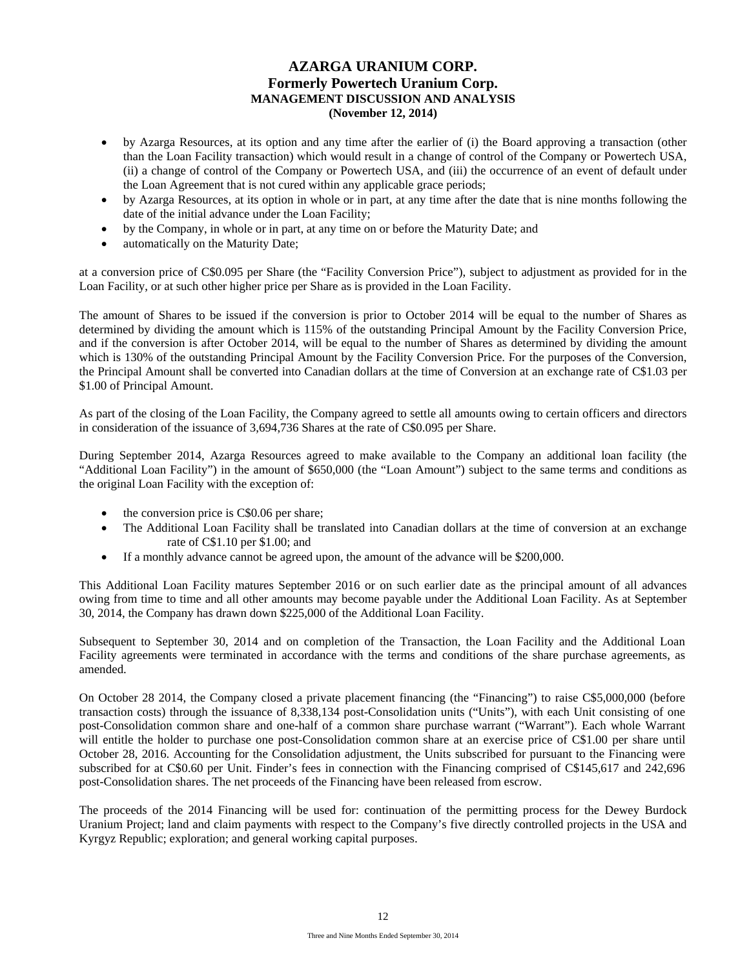- by Azarga Resources, at its option and any time after the earlier of (i) the Board approving a transaction (other than the Loan Facility transaction) which would result in a change of control of the Company or Powertech USA, (ii) a change of control of the Company or Powertech USA, and (iii) the occurrence of an event of default under the Loan Agreement that is not cured within any applicable grace periods;
- by Azarga Resources, at its option in whole or in part, at any time after the date that is nine months following the date of the initial advance under the Loan Facility;
- by the Company, in whole or in part, at any time on or before the Maturity Date; and
- automatically on the Maturity Date;

at a conversion price of C\$0.095 per Share (the "Facility Conversion Price"), subject to adjustment as provided for in the Loan Facility, or at such other higher price per Share as is provided in the Loan Facility.

The amount of Shares to be issued if the conversion is prior to October 2014 will be equal to the number of Shares as determined by dividing the amount which is 115% of the outstanding Principal Amount by the Facility Conversion Price, and if the conversion is after October 2014, will be equal to the number of Shares as determined by dividing the amount which is 130% of the outstanding Principal Amount by the Facility Conversion Price. For the purposes of the Conversion, the Principal Amount shall be converted into Canadian dollars at the time of Conversion at an exchange rate of C\$1.03 per \$1.00 of Principal Amount.

As part of the closing of the Loan Facility, the Company agreed to settle all amounts owing to certain officers and directors in consideration of the issuance of 3,694,736 Shares at the rate of C\$0.095 per Share.

During September 2014, Azarga Resources agreed to make available to the Company an additional loan facility (the "Additional Loan Facility") in the amount of \$650,000 (the "Loan Amount") subject to the same terms and conditions as the original Loan Facility with the exception of:

- the conversion price is C\$0.06 per share;
- The Additional Loan Facility shall be translated into Canadian dollars at the time of conversion at an exchange rate of C\$1.10 per \$1.00; and
- If a monthly advance cannot be agreed upon, the amount of the advance will be \$200,000.

This Additional Loan Facility matures September 2016 or on such earlier date as the principal amount of all advances owing from time to time and all other amounts may become payable under the Additional Loan Facility. As at September 30, 2014, the Company has drawn down \$225,000 of the Additional Loan Facility.

Subsequent to September 30, 2014 and on completion of the Transaction, the Loan Facility and the Additional Loan Facility agreements were terminated in accordance with the terms and conditions of the share purchase agreements, as amended.

On October 28 2014, the Company closed a private placement financing (the "Financing") to raise C\$5,000,000 (before transaction costs) through the issuance of 8,338,134 post-Consolidation units ("Units"), with each Unit consisting of one post-Consolidation common share and one-half of a common share purchase warrant ("Warrant"). Each whole Warrant will entitle the holder to purchase one post-Consolidation common share at an exercise price of C\$1.00 per share until October 28, 2016. Accounting for the Consolidation adjustment, the Units subscribed for pursuant to the Financing were subscribed for at C\$0.60 per Unit. Finder's fees in connection with the Financing comprised of C\$145,617 and 242,696 post-Consolidation shares. The net proceeds of the Financing have been released from escrow.

The proceeds of the 2014 Financing will be used for: continuation of the permitting process for the Dewey Burdock Uranium Project; land and claim payments with respect to the Company's five directly controlled projects in the USA and Kyrgyz Republic; exploration; and general working capital purposes.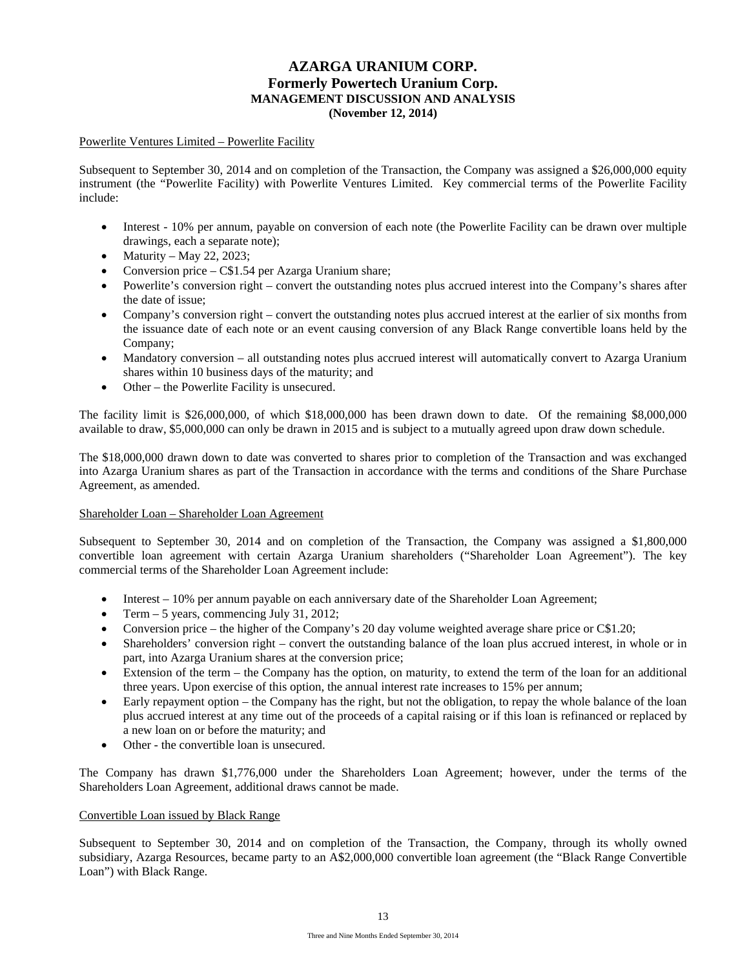### Powerlite Ventures Limited – Powerlite Facility

Subsequent to September 30, 2014 and on completion of the Transaction, the Company was assigned a \$26,000,000 equity instrument (the "Powerlite Facility) with Powerlite Ventures Limited. Key commercial terms of the Powerlite Facility include:

- Interest 10% per annum, payable on conversion of each note (the Powerlite Facility can be drawn over multiple drawings, each a separate note);
- Maturity May 22, 2023;
- Conversion price C\$1.54 per Azarga Uranium share;
- Powerlite's conversion right convert the outstanding notes plus accrued interest into the Company's shares after the date of issue;
- Company's conversion right convert the outstanding notes plus accrued interest at the earlier of six months from the issuance date of each note or an event causing conversion of any Black Range convertible loans held by the Company;
- Mandatory conversion all outstanding notes plus accrued interest will automatically convert to Azarga Uranium shares within 10 business days of the maturity; and
- Other the Powerlite Facility is unsecured.

The facility limit is \$26,000,000, of which \$18,000,000 has been drawn down to date. Of the remaining \$8,000,000 available to draw, \$5,000,000 can only be drawn in 2015 and is subject to a mutually agreed upon draw down schedule.

The \$18,000,000 drawn down to date was converted to shares prior to completion of the Transaction and was exchanged into Azarga Uranium shares as part of the Transaction in accordance with the terms and conditions of the Share Purchase Agreement, as amended.

### Shareholder Loan – Shareholder Loan Agreement

Subsequent to September 30, 2014 and on completion of the Transaction, the Company was assigned a \$1,800,000 convertible loan agreement with certain Azarga Uranium shareholders ("Shareholder Loan Agreement"). The key commercial terms of the Shareholder Loan Agreement include:

- Interest 10% per annum payable on each anniversary date of the Shareholder Loan Agreement;
- Term 5 years, commencing July 31, 2012;
- Conversion price the higher of the Company's 20 day volume weighted average share price or C\$1.20;
- Shareholders' conversion right convert the outstanding balance of the loan plus accrued interest, in whole or in part, into Azarga Uranium shares at the conversion price;
- Extension of the term the Company has the option, on maturity, to extend the term of the loan for an additional three years. Upon exercise of this option, the annual interest rate increases to 15% per annum;
- Early repayment option the Company has the right, but not the obligation, to repay the whole balance of the loan plus accrued interest at any time out of the proceeds of a capital raising or if this loan is refinanced or replaced by a new loan on or before the maturity; and
- Other the convertible loan is unsecured.

The Company has drawn \$1,776,000 under the Shareholders Loan Agreement; however, under the terms of the Shareholders Loan Agreement, additional draws cannot be made.

### Convertible Loan issued by Black Range

Subsequent to September 30, 2014 and on completion of the Transaction, the Company, through its wholly owned subsidiary, Azarga Resources, became party to an A\$2,000,000 convertible loan agreement (the "Black Range Convertible Loan") with Black Range.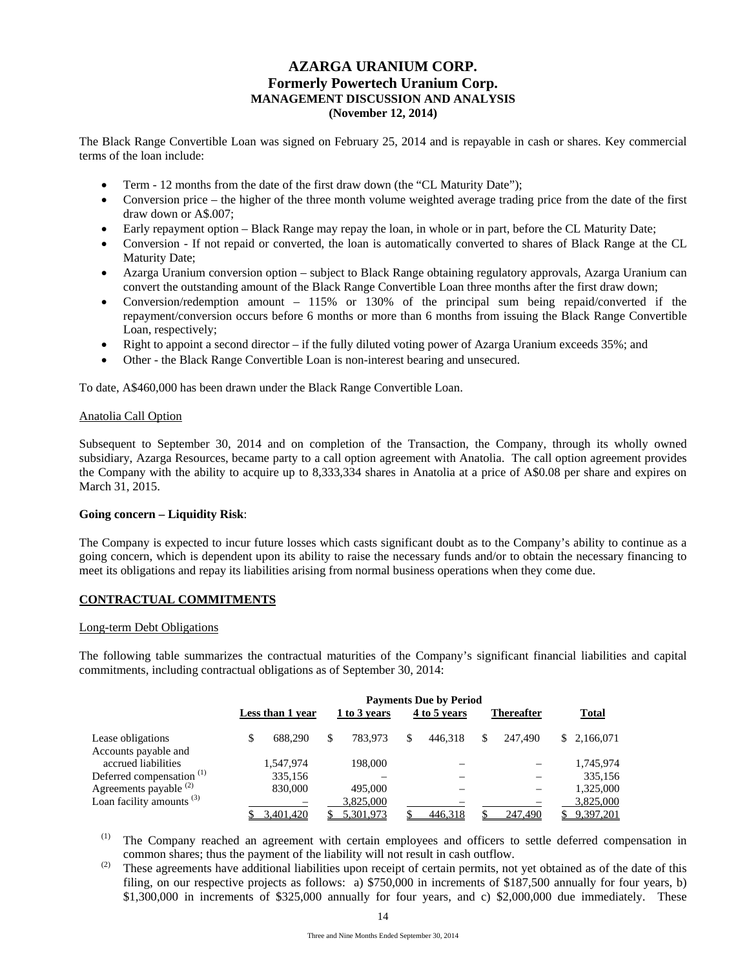The Black Range Convertible Loan was signed on February 25, 2014 and is repayable in cash or shares. Key commercial terms of the loan include:

- Term 12 months from the date of the first draw down (the "CL Maturity Date");
- Conversion price the higher of the three month volume weighted average trading price from the date of the first draw down or A\$.007;
- Early repayment option Black Range may repay the loan, in whole or in part, before the CL Maturity Date;
- Conversion If not repaid or converted, the loan is automatically converted to shares of Black Range at the CL Maturity Date;
- Azarga Uranium conversion option subject to Black Range obtaining regulatory approvals, Azarga Uranium can convert the outstanding amount of the Black Range Convertible Loan three months after the first draw down;
- Conversion/redemption amount 115% or 130% of the principal sum being repaid/converted if the repayment/conversion occurs before 6 months or more than 6 months from issuing the Black Range Convertible Loan, respectively;
- Right to appoint a second director if the fully diluted voting power of Azarga Uranium exceeds 35%; and
- Other the Black Range Convertible Loan is non-interest bearing and unsecured.

To date, A\$460,000 has been drawn under the Black Range Convertible Loan.

### Anatolia Call Option

Subsequent to September 30, 2014 and on completion of the Transaction, the Company, through its wholly owned subsidiary, Azarga Resources, became party to a call option agreement with Anatolia. The call option agreement provides the Company with the ability to acquire up to 8,333,334 shares in Anatolia at a price of A\$0.08 per share and expires on March 31, 2015.

### **Going concern – Liquidity Risk**:

The Company is expected to incur future losses which casts significant doubt as to the Company's ability to continue as a going concern, which is dependent upon its ability to raise the necessary funds and/or to obtain the necessary financing to meet its obligations and repay its liabilities arising from normal business operations when they come due.

# **CONTRACTUAL COMMITMENTS**

### Long-term Debt Obligations

The following table summarizes the contractual maturities of the Company's significant financial liabilities and capital commitments, including contractual obligations as of September 30, 2014:

|                                      | Less than 1 year | 1 to 3 years | <b>Payments Due by Period</b><br>4 to 5 years | <b>Thereafter</b> |    | <b>Total</b> |
|--------------------------------------|------------------|--------------|-----------------------------------------------|-------------------|----|--------------|
| Lease obligations                    | \$<br>688,290    | 783.973      | \$<br>446.318                                 | 247,490           |    | \$2,166,071  |
| Accounts payable and                 |                  |              |                                               |                   |    |              |
| accrued liabilities                  | 1,547,974        | 198,000      |                                               |                   |    | 1,745,974    |
| Deferred compensation <sup>(1)</sup> | 335,156          |              |                                               |                   |    | 335,156      |
| Agreements payable <sup>(2)</sup>    | 830,000          | 495,000      |                                               |                   |    | 1,325,000    |
| Loan facility amounts $(3)$          |                  | 3,825,000    |                                               |                   |    | 3,825,000    |
|                                      | 3,401,420        | 5.301.973    | 446.318                                       | 247.490           | S. | 9,397,201    |

The Company reached an agreement with certain employees and officers to settle deferred compensation in common shares; thus the payment of the liability will not result in cash outflow.

 $\mu$ <sup>(2)</sup> These agreements have additional liabilities upon receipt of certain permits, not yet obtained as of the date of this filing, on our respective projects as follows: a) \$750,000 in increments of \$187,500 annually for four years, b) \$1,300,000 in increments of \$325,000 annually for four years, and c) \$2,000,000 due immediately. These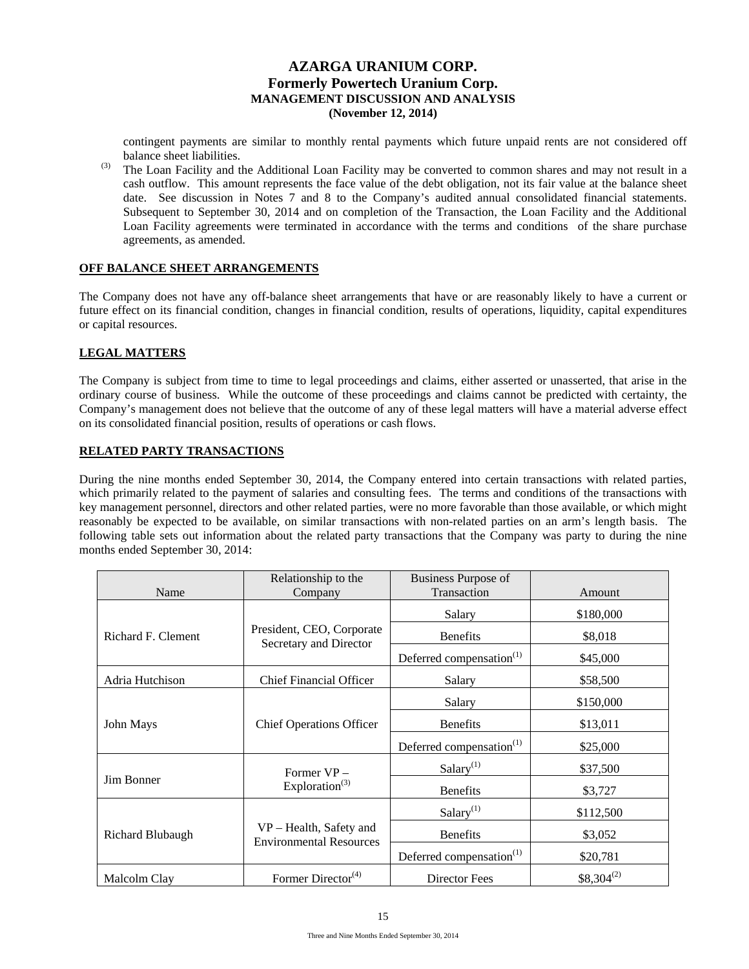contingent payments are similar to monthly rental payments which future unpaid rents are not considered off balance sheet liabilities.

 $(3)$  The Loan Facility and the Additional Loan Facility may be converted to common shares and may not result in a cash outflow. This amount represents the face value of the debt obligation, not its fair value at the balance sheet date. See discussion in Notes 7 and 8 to the Company's audited annual consolidated financial statements. Subsequent to September 30, 2014 and on completion of the Transaction, the Loan Facility and the Additional Loan Facility agreements were terminated in accordance with the terms and conditions of the share purchase agreements, as amended.

# **OFF BALANCE SHEET ARRANGEMENTS**

The Company does not have any off-balance sheet arrangements that have or are reasonably likely to have a current or future effect on its financial condition, changes in financial condition, results of operations, liquidity, capital expenditures or capital resources.

# **LEGAL MATTERS**

The Company is subject from time to time to legal proceedings and claims, either asserted or unasserted, that arise in the ordinary course of business. While the outcome of these proceedings and claims cannot be predicted with certainty, the Company's management does not believe that the outcome of any of these legal matters will have a material adverse effect on its consolidated financial position, results of operations or cash flows.

# **RELATED PARTY TRANSACTIONS**

During the nine months ended September 30, 2014, the Company entered into certain transactions with related parties, which primarily related to the payment of salaries and consulting fees. The terms and conditions of the transactions with key management personnel, directors and other related parties, were no more favorable than those available, or which might reasonably be expected to be available, on similar transactions with non-related parties on an arm's length basis. The following table sets out information about the related party transactions that the Company was party to during the nine months ended September 30, 2014:

|                    | Relationship to the<br>Business Purpose of                |                                      |                |  |
|--------------------|-----------------------------------------------------------|--------------------------------------|----------------|--|
| Name               | Company                                                   | Transaction                          | Amount         |  |
|                    |                                                           | Salary                               | \$180,000      |  |
| Richard F. Clement | President, CEO, Corporate<br>Secretary and Director       | <b>Benefits</b>                      | \$8,018        |  |
|                    |                                                           | Deferred compensation <sup>(1)</sup> | \$45,000       |  |
| Adria Hutchison    | <b>Chief Financial Officer</b>                            | Salary                               | \$58,500       |  |
|                    |                                                           | Salary                               | \$150,000      |  |
| John Mays          | <b>Chief Operations Officer</b>                           | <b>Benefits</b>                      | \$13,011       |  |
|                    |                                                           | Deferred compensation <sup>(1)</sup> | \$25,000       |  |
|                    | Former VP-                                                | Salary <sup>(1)</sup>                | \$37,500       |  |
| Jim Bonner         | Exploration <sup>(3)</sup>                                | <b>Benefits</b>                      | \$3,727        |  |
|                    |                                                           | Salary $(1)$                         | \$112,500      |  |
| Richard Blubaugh   | VP – Health, Safety and<br><b>Environmental Resources</b> | <b>Benefits</b>                      | \$3,052        |  |
|                    |                                                           | Deferred compensation <sup>(1)</sup> | \$20,781       |  |
| Malcolm Clay       | Former Director <sup>(4)</sup>                            | Director Fees                        | $$8,304^{(2)}$ |  |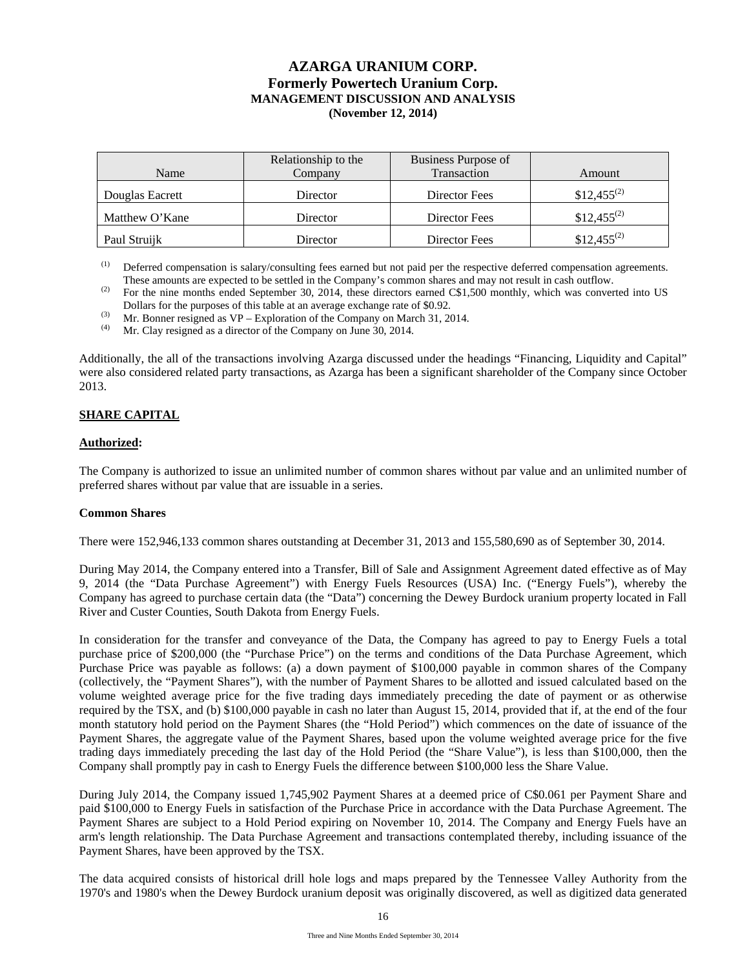| Name            | Relationship to the<br>Company | Business Purpose of<br>Transaction | Amount           |
|-----------------|--------------------------------|------------------------------------|------------------|
| Douglas Eacrett | Director                       | Director Fees                      | $$12,455^{(2)}$$ |
| Matthew O'Kane  | Director                       | Director Fees                      | $$12,455^{(2)}$  |
| Paul Struijk    | Director                       | Director Fees                      | $$12,455^{(2)}$  |

(1) Deferred compensation is salary/consulting fees earned but not paid per the respective deferred compensation agreements. These amounts are expected to be settled in the Company's common shares and may not result in cash outflow.

<sup>(2)</sup> For the nine months ended September 30, 2014, these directors earned C\$1,500 monthly, which was converted into US Dollars for the purposes of this table at an average exchange rate of \$0.92.

(3) Mr. Bonner resigned as VP – Exploration of the Company on March 31, 2014.

Mr. Clay resigned as a director of the Company on June 30, 2014.

Additionally, the all of the transactions involving Azarga discussed under the headings "Financing, Liquidity and Capital" were also considered related party transactions, as Azarga has been a significant shareholder of the Company since October 2013.

# **SHARE CAPITAL**

### **Authorized:**

The Company is authorized to issue an unlimited number of common shares without par value and an unlimited number of preferred shares without par value that are issuable in a series.

### **Common Shares**

There were 152,946,133 common shares outstanding at December 31, 2013 and 155,580,690 as of September 30, 2014.

During May 2014, the Company entered into a Transfer, Bill of Sale and Assignment Agreement dated effective as of May 9, 2014 (the "Data Purchase Agreement") with Energy Fuels Resources (USA) Inc. ("Energy Fuels"), whereby the Company has agreed to purchase certain data (the "Data") concerning the Dewey Burdock uranium property located in Fall River and Custer Counties, South Dakota from Energy Fuels.

In consideration for the transfer and conveyance of the Data, the Company has agreed to pay to Energy Fuels a total purchase price of \$200,000 (the "Purchase Price") on the terms and conditions of the Data Purchase Agreement, which Purchase Price was payable as follows: (a) a down payment of \$100,000 payable in common shares of the Company (collectively, the "Payment Shares"), with the number of Payment Shares to be allotted and issued calculated based on the volume weighted average price for the five trading days immediately preceding the date of payment or as otherwise required by the TSX, and (b) \$100,000 payable in cash no later than August 15, 2014, provided that if, at the end of the four month statutory hold period on the Payment Shares (the "Hold Period") which commences on the date of issuance of the Payment Shares, the aggregate value of the Payment Shares, based upon the volume weighted average price for the five trading days immediately preceding the last day of the Hold Period (the "Share Value"), is less than \$100,000, then the Company shall promptly pay in cash to Energy Fuels the difference between \$100,000 less the Share Value.

During July 2014, the Company issued 1,745,902 Payment Shares at a deemed price of C\$0.061 per Payment Share and paid \$100,000 to Energy Fuels in satisfaction of the Purchase Price in accordance with the Data Purchase Agreement. The Payment Shares are subject to a Hold Period expiring on November 10, 2014. The Company and Energy Fuels have an arm's length relationship. The Data Purchase Agreement and transactions contemplated thereby, including issuance of the Payment Shares, have been approved by the TSX.

The data acquired consists of historical drill hole logs and maps prepared by the Tennessee Valley Authority from the 1970's and 1980's when the Dewey Burdock uranium deposit was originally discovered, as well as digitized data generated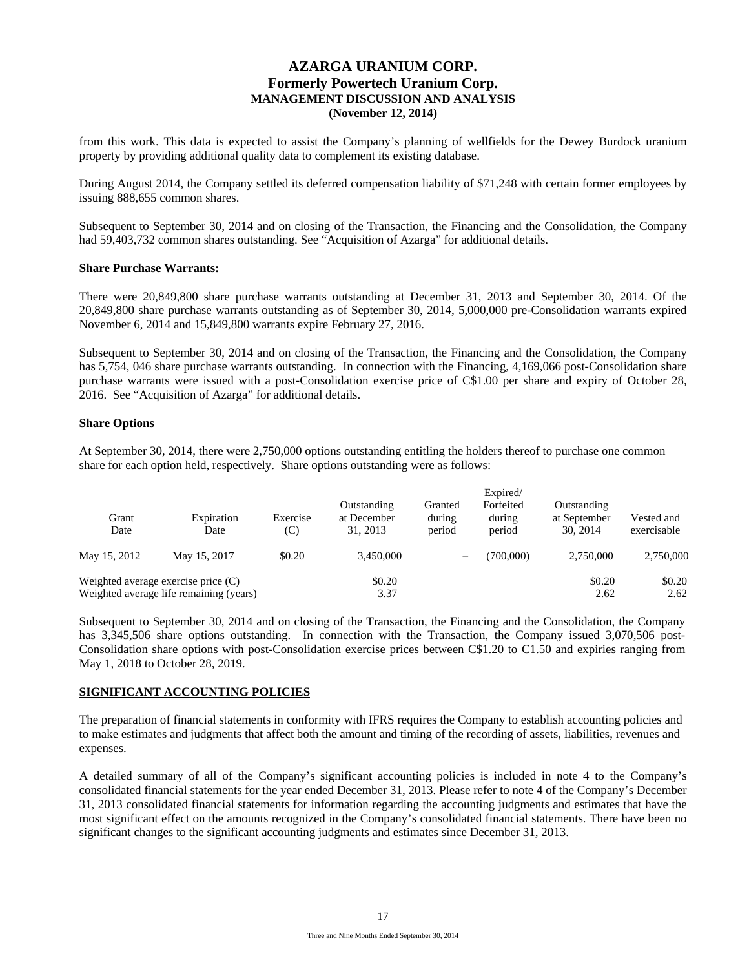from this work. This data is expected to assist the Company's planning of wellfields for the Dewey Burdock uranium property by providing additional quality data to complement its existing database.

During August 2014, the Company settled its deferred compensation liability of \$71,248 with certain former employees by issuing 888,655 common shares.

Subsequent to September 30, 2014 and on closing of the Transaction, the Financing and the Consolidation, the Company had 59,403,732 common shares outstanding. See "Acquisition of Azarga" for additional details.

### **Share Purchase Warrants:**

There were 20,849,800 share purchase warrants outstanding at December 31, 2013 and September 30, 2014. Of the 20,849,800 share purchase warrants outstanding as of September 30, 2014, 5,000,000 pre-Consolidation warrants expired November 6, 2014 and 15,849,800 warrants expire February 27, 2016.

Subsequent to September 30, 2014 and on closing of the Transaction, the Financing and the Consolidation, the Company has 5,754, 046 share purchase warrants outstanding. In connection with the Financing, 4,169,066 post-Consolidation share purchase warrants were issued with a post-Consolidation exercise price of C\$1.00 per share and expiry of October 28, 2016. See "Acquisition of Azarga" for additional details.

#### **Share Options**

At September 30, 2014, there were 2,750,000 options outstanding entitling the holders thereof to purchase one common share for each option held, respectively. Share options outstanding were as follows:

| Grant<br>Date | Expiration<br><b>Date</b>               | Exercise<br><u>(C)</u> | Outstanding<br>at December<br>31, 2013 | Granted<br>during<br>period | Forfeited<br>during<br>period | Outstanding<br>at September<br>30, 2014 | Vested and<br>exercisable |
|---------------|-----------------------------------------|------------------------|----------------------------------------|-----------------------------|-------------------------------|-----------------------------------------|---------------------------|
| May 15, 2012  | May 15, 2017                            | \$0.20                 | 3.450,000                              | $\overline{\phantom{0}}$    | (700.000)                     | 2,750,000                               | 2,750,000                 |
|               | Weighted average exercise price $(C)$   |                        | \$0.20                                 |                             |                               | \$0.20                                  | \$0.20                    |
|               | Weighted average life remaining (years) |                        | 3.37                                   |                             |                               | 2.62                                    | 2.62                      |

Subsequent to September 30, 2014 and on closing of the Transaction, the Financing and the Consolidation, the Company has 3,345,506 share options outstanding. In connection with the Transaction, the Company issued 3,070,506 post-Consolidation share options with post-Consolidation exercise prices between C\$1.20 to C1.50 and expiries ranging from May 1, 2018 to October 28, 2019.

### **SIGNIFICANT ACCOUNTING POLICIES**

The preparation of financial statements in conformity with IFRS requires the Company to establish accounting policies and to make estimates and judgments that affect both the amount and timing of the recording of assets, liabilities, revenues and expenses.

A detailed summary of all of the Company's significant accounting policies is included in note 4 to the Company's consolidated financial statements for the year ended December 31, 2013. Please refer to note 4 of the Company's December 31, 2013 consolidated financial statements for information regarding the accounting judgments and estimates that have the most significant effect on the amounts recognized in the Company's consolidated financial statements. There have been no significant changes to the significant accounting judgments and estimates since December 31, 2013.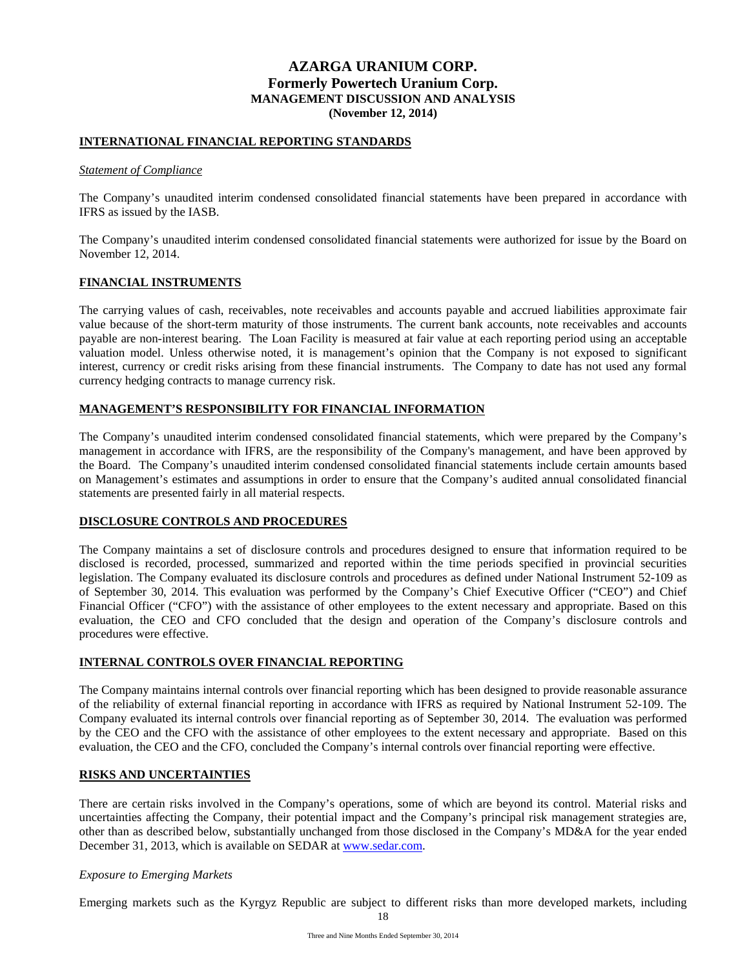## **INTERNATIONAL FINANCIAL REPORTING STANDARDS**

#### *Statement of Compliance*

The Company's unaudited interim condensed consolidated financial statements have been prepared in accordance with IFRS as issued by the IASB.

The Company's unaudited interim condensed consolidated financial statements were authorized for issue by the Board on November 12, 2014.

## **FINANCIAL INSTRUMENTS**

The carrying values of cash, receivables, note receivables and accounts payable and accrued liabilities approximate fair value because of the short-term maturity of those instruments. The current bank accounts, note receivables and accounts payable are non-interest bearing. The Loan Facility is measured at fair value at each reporting period using an acceptable valuation model. Unless otherwise noted, it is management's opinion that the Company is not exposed to significant interest, currency or credit risks arising from these financial instruments. The Company to date has not used any formal currency hedging contracts to manage currency risk.

## **MANAGEMENT'S RESPONSIBILITY FOR FINANCIAL INFORMATION**

The Company's unaudited interim condensed consolidated financial statements, which were prepared by the Company's management in accordance with IFRS, are the responsibility of the Company's management, and have been approved by the Board. The Company's unaudited interim condensed consolidated financial statements include certain amounts based on Management's estimates and assumptions in order to ensure that the Company's audited annual consolidated financial statements are presented fairly in all material respects.

### **DISCLOSURE CONTROLS AND PROCEDURES**

The Company maintains a set of disclosure controls and procedures designed to ensure that information required to be disclosed is recorded, processed, summarized and reported within the time periods specified in provincial securities legislation. The Company evaluated its disclosure controls and procedures as defined under National Instrument 52-109 as of September 30, 2014. This evaluation was performed by the Company's Chief Executive Officer ("CEO") and Chief Financial Officer ("CFO") with the assistance of other employees to the extent necessary and appropriate. Based on this evaluation, the CEO and CFO concluded that the design and operation of the Company's disclosure controls and procedures were effective.

### **INTERNAL CONTROLS OVER FINANCIAL REPORTING**

The Company maintains internal controls over financial reporting which has been designed to provide reasonable assurance of the reliability of external financial reporting in accordance with IFRS as required by National Instrument 52-109. The Company evaluated its internal controls over financial reporting as of September 30, 2014. The evaluation was performed by the CEO and the CFO with the assistance of other employees to the extent necessary and appropriate. Based on this evaluation, the CEO and the CFO, concluded the Company's internal controls over financial reporting were effective.

### **RISKS AND UNCERTAINTIES**

There are certain risks involved in the Company's operations, some of which are beyond its control. Material risks and uncertainties affecting the Company, their potential impact and the Company's principal risk management strategies are, other than as described below, substantially unchanged from those disclosed in the Company's MD&A for the year ended December 31, 2013, which is available on SEDAR at www.sedar.com.

### *Exposure to Emerging Markets*

Emerging markets such as the Kyrgyz Republic are subject to different risks than more developed markets, including

18